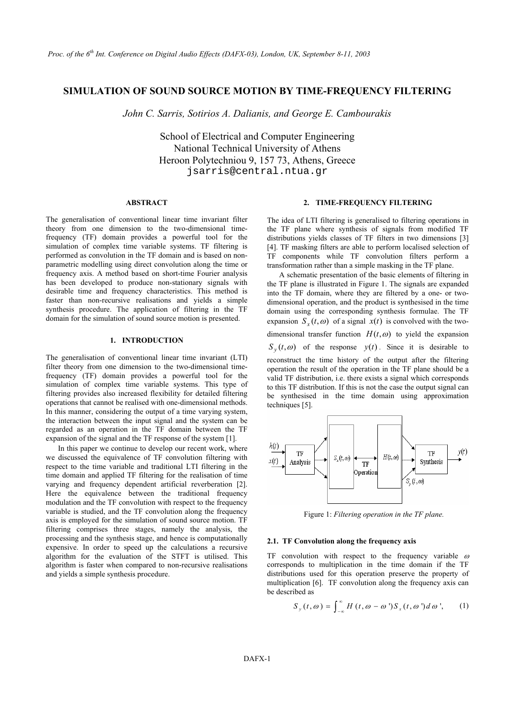# **SIMULATION OF SOUND SOURCE MOTION BY TIME-FREQUENCY FILTERING**

*John C. Sarris, Sotirios A. Dalianis, and George E. Cambourakis* 

School of Electrical and Computer Engineering National Technical University of Athens Heroon Polytechniou 9, 157 73, Athens, Greece jsarris@central.ntua.gr

#### **ABSTRACT**

The generalisation of conventional linear time invariant filter theory from one dimension to the two-dimensional timefrequency (TF) domain provides a powerful tool for the simulation of complex time variable systems. TF filtering is performed as convolution in the TF domain and is based on nonparametric modelling using direct convolution along the time or frequency axis. A method based on short-time Fourier analysis has been developed to produce non-stationary signals with desirable time and frequency characteristics. This method is faster than non-recursive realisations and yields a simple synthesis procedure. The application of filtering in the TF domain for the simulation of sound source motion is presented.

## **1. INTRODUCTION**

The generalisation of conventional linear time invariant (LTI) filter theory from one dimension to the two-dimensional timefrequency (TF) domain provides a powerful tool for the simulation of complex time variable systems. This type of filtering provides also increased flexibility for detailed filtering operations that cannot be realised with one-dimensional methods. In this manner, considering the output of a time varying system, the interaction between the input signal and the system can be regarded as an operation in the TF domain between the TF expansion of the signal and the TF response of the system [1].

In this paper we continue to develop our recent work, where we discussed the equivalence of TF convolution filtering with respect to the time variable and traditional LTI filtering in the time domain and applied TF filtering for the realisation of time varying and frequency dependent artificial reverberation [2]. Here the equivalence between the traditional frequency modulation and the TF convolution with respect to the frequency variable is studied, and the TF convolution along the frequency axis is employed for the simulation of sound source motion. TF filtering comprises three stages, namely the analysis, the processing and the synthesis stage, and hence is computationally expensive. In order to speed up the calculations a recursive algorithm for the evaluation of the STFT is utilised. This algorithm is faster when compared to non-recursive realisations and yields a simple synthesis procedure.

#### **2. TIME-FREQUENCY FILTERING**

The idea of LTI filtering is generalised to filtering operations in the TF plane where synthesis of signals from modified TF distributions yields classes of TF filters in two dimensions [3] [4]. TF masking filters are able to perform localised selection of TF components while TF convolution filters perform a transformation rather than a simple masking in the TF plane.

A schematic presentation of the basic elements of filtering in the TF plane is illustrated in Figure 1. The signals are expanded into the TF domain, where they are filtered by a one- or twodimensional operation, and the product is synthesised in the time domain using the corresponding synthesis formulae. The TF expansion  $S_r(t, \omega)$  of a signal  $x(t)$  is convolved with the twodimensional transfer function  $H(t, \omega)$  to yield the expansion  $S_y(t, \omega)$  of the response  $y(t)$ . Since it is desirable to reconstruct the time history of the output after the filtering operation the result of the operation in the TF plane should be a valid TF distribution, i.e. there exists a signal which corresponds to this TF distribution. If this is not the case the output signal can be synthesised in the time domain using approximation techniques [5].



Figure 1: *Filtering operation in the TF plane.* 

### **2.1. TF Convolution along the frequency axis**

TF convolution with respect to the frequency variable  $\omega$ corresponds to multiplication in the time domain if the TF distributions used for this operation preserve the property of multiplication [6]. TF convolution along the frequency axis can be described as

$$
S_{y}(t,\omega) = \int_{-\infty}^{\infty} H(t,\omega - \omega') S_{x}(t,\omega') d\omega', \qquad (1)
$$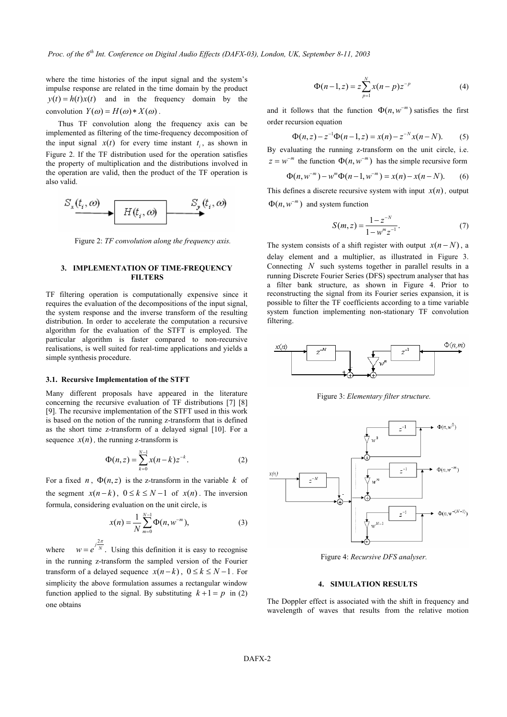where the time histories of the input signal and the system's impulse response are related in the time domain by the product  $y(t) = h(t)x(t)$  and in the frequency domain by the convolution  $Y(\omega) = H(\omega) * X(\omega)$ .

Thus TF convolution along the frequency axis can be implemented as filtering of the time-frequency decomposition of the input signal  $x(t)$  for every time instant  $t_i$ , as shown in Figure 2. If the TF distribution used for the operation satisfies the property of multiplication and the distributions involved in the operation are valid, then the product of the TF operation is also valid.



Figure 2: *TF convolution along the frequency axis.* 

## **3. IMPLEMENTATION OF TIME-FREQUENCY FILTERS**

TF filtering operation is computationally expensive since it requires the evaluation of the decompositions of the input signal, the system response and the inverse transform of the resulting distribution. In order to accelerate the computation a recursive algorithm for the evaluation of the STFT is employed. The particular algorithm is faster compared to non-recursive realisations, is well suited for real-time applications and yields a simple synthesis procedure.

### **3.1. Recursive Implementation of the STFT**

Many different proposals have appeared in the literature concerning the recursive evaluation of TF distributions [7] [8] [9]. The recursive implementation of the STFT used in this work is based on the notion of the running z-transform that is defined as the short time z-transform of a delayed signal [10]. For a sequence  $x(n)$ , the running z-transform is

$$
\Phi(n, z) = \sum_{k=0}^{N-1} x(n-k) z^{-k}.
$$
 (2)

For a fixed *n*,  $\Phi(n, z)$  is the z-transform in the variable *k* of the segment  $x(n-k)$ ,  $0 \le k \le N-1$  of  $x(n)$ . The inversion formula, considering evaluation on the unit circle, is

$$
x(n) = \frac{1}{N} \sum_{m=0}^{N-1} \Phi(n, w^{-m}),
$$
 (3)

where  $w = e^{j\frac{2\pi}{N}}$ . Using this definition it is easy to recognise in the running z-transform the sampled version of the Fourier transform of a delayed sequence  $x(n-k)$ ,  $0 \le k \le N-1$ . For simplicity the above formulation assumes a rectangular window function applied to the signal. By substituting  $k+1 = p$  in (2) one obtains

$$
\Phi(n-1, z) = z \sum_{p=1}^{N} x(n-p) z^{-p}
$$
 (4)

and it follows that the function  $\Phi(n, w<sup>-m</sup>)$  satisfies the first order recursion equation

$$
\Phi(n, z) - z^{-1} \Phi(n-1, z) = x(n) - z^{-N} x(n - N).
$$
 (5)

By evaluating the running z-transform on the unit circle, i.e.  $z = w^{-m}$  the function  $\Phi(n, w^{-m})$  has the simple recursive form

$$
\Phi(n, w^{-m}) - w^{m} \Phi(n-1, w^{-m}) = x(n) - x(n-N).
$$
 (6)

This defines a discrete recursive system with input  $x(n)$ , output  $\Phi(n, w^{-m})$  and system function

$$
S(m, z) = \frac{1 - z^{-N}}{1 - w^m z^{-1}}.
$$
 (7)

The system consists of a shift register with output  $x(n-N)$ , a delay element and a multiplier, as illustrated in Figure 3. Connecting *N* such systems together in parallel results in a running Discrete Fourier Series (DFS) spectrum analyser that has a filter bank structure, as shown in Figure 4. Prior to reconstructing the signal from its Fourier series expansion, it is possible to filter the TF coefficients according to a time variable system function implementing non-stationary TF convolution filtering.



Figure 3: *Elementary filter structure.* 



Figure 4: *Recursive DFS analyser.* 

### **4. SIMULATION RESULTS**

The Doppler effect is associated with the shift in frequency and wavelength of waves that results from the relative motion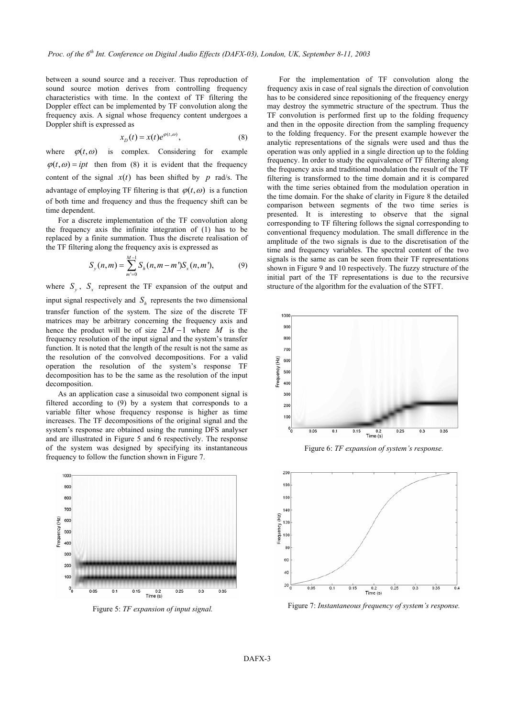between a sound source and a receiver. Thus reproduction of sound source motion derives from controlling frequency characteristics with time. In the context of TF filtering the Doppler effect can be implemented by TF convolution along the frequency axis. A signal whose frequency content undergoes a Doppler shift is expressed as

$$
x_D(t) = x(t)e^{\varphi(t,\omega)},\tag{8}
$$

where  $\varphi(t, \omega)$  is complex. Considering for example  $\varphi(t, \omega) = ipt$  then from (8) it is evident that the frequency content of the signal  $x(t)$  has been shifted by *p* rad/s. The advantage of employing TF filtering is that  $\varphi(t, \omega)$  is a function of both time and frequency and thus the frequency shift can be time dependent.

For a discrete implementation of the TF convolution along the frequency axis the infinite integration of (1) has to be replaced by a finite summation. Thus the discrete realisation of the TF filtering along the frequency axis is expressed as

$$
S_{y}(n,m) = \sum_{m'=0}^{M-1} S_{h}(n,m-m')S_{x}(n,m'), \qquad (9)
$$

where  $S_{v}$ ,  $S_{r}$  represent the TF expansion of the output and input signal respectively and  $S_h$  represents the two dimensional transfer function of the system. The size of the discrete TF matrices may be arbitrary concerning the frequency axis and hence the product will be of size  $2M - 1$  where *M* is the frequency resolution of the input signal and the system's transfer function. It is noted that the length of the result is not the same as the resolution of the convolved decompositions. For a valid operation the resolution of the system's response TF decomposition has to be the same as the resolution of the input decomposition.

As an application case a sinusoidal two component signal is filtered according to (9) by a system that corresponds to a variable filter whose frequency response is higher as time increases. The TF decompositions of the original signal and the system's response are obtained using the running DFS analyser and are illustrated in Figure 5 and 6 respectively. The response of the system was designed by specifying its instantaneous frequency to follow the function shown in Figure 7.



Figure 5: *TF expansion of input signal.*

For the implementation of TF convolution along the frequency axis in case of real signals the direction of convolution has to be considered since repositioning of the frequency energy may destroy the symmetric structure of the spectrum. Thus the TF convolution is performed first up to the folding frequency and then in the opposite direction from the sampling frequency to the folding frequency. For the present example however the analytic representations of the signals were used and thus the operation was only applied in a single direction up to the folding frequency. In order to study the equivalence of TF filtering along the frequency axis and traditional modulation the result of the TF filtering is transformed to the time domain and it is compared with the time series obtained from the modulation operation in the time domain. For the shake of clarity in Figure 8 the detailed comparison between segments of the two time series is presented. It is interesting to observe that the signal corresponding to TF filtering follows the signal corresponding to conventional frequency modulation. The small difference in the amplitude of the two signals is due to the discretisation of the time and frequency variables. The spectral content of the two signals is the same as can be seen from their TF representations shown in Figure 9 and 10 respectively. The fuzzy structure of the initial part of the TF representations is due to the recursive structure of the algorithm for the evaluation of the STFT.



Figure 6: *TF expansion of system's response.* 



Figure 7: *Instantaneous frequency of system's response.*